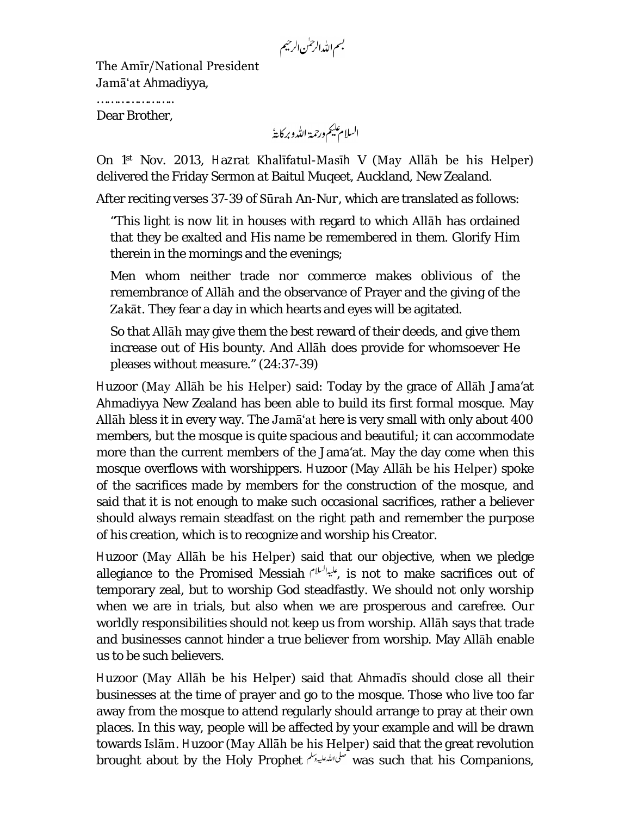بسم الله الرحمٰن الرحيم

The Amīr/National President Jamā'at Ahmadiyya,

………………………… Dear Brother,

السلام يليم ورحمة الله وبركايةُ

On 1 st Nov. 2013, Hazrat Khalīfatul-Masīh V (May Allāh be his Helper) delivered the Friday Sermon at Baitul Muqeet, Auckland, New Zealand.

After reciting verses 37-39 of Sūrah *An-Nur*, which are translated as follows:

"*This light is now* lit in houses with regard to which Allāh has ordained that they be exalted and His name be remembered in them. Glorify Him therein in the mornings and the evenings;

Men whom neither trade nor commerce makes oblivious of the remembrance of Allāh and the observance of Prayer and the giving of the Zakāt. They fear a day in which hearts and eyes will be agitated.

So that Allāh may give them the best reward of their deeds, and give them increase out of His bounty. And Allāh does provide for whomsoever He pleases without measure." (24:37-39)

Huzoor (May Allāh be his Helper) said: Today by the grace of Allāh Jama'at Ahmadiyya New Zealand has been able to build its first formal mosque. May Allāh bless it in every way. The Jamā'at here is very small with only about 400 members, but the mosque is quite spacious and beautiful; it can accommodate more than the current members of the Jama'at. May the day come when this mosque overflows with worshippers. Huzoor (May Allāh be his Helper) spoke of the sacrifices made by members for the construction of the mosque, and said that it is not enough to make such occasional sacrifices, rather a believer should always remain steadfast on the right path and remember the purpose of his creation, which is to recognize and worship his Creator.

Huzoor (May Allāh be his Helper) said that our objective, when we pledge allegiance to the Promised Messiah , الميالسلام is not to make sacrifices out of temporary zeal, but to worship God steadfastly. We should not only worship when we are in trials, but also when we are prosperous and carefree. Our worldly responsibilities should not keep us from worship. Allāh says that trade and businesses cannot hinder a true believer from worship. May Allāh enable us to be such believers.

Huzoor (May Allāh be his Helper) said that Ahmadīs should close all their businesses at the time of prayer and go to the mosque. Those who live too far away from the mosque to attend regularly should arrange to pray at their own places. In this way, people will be affected by your example and will be drawn towards Islām. Huzoor (May Allāh be his Helper) said that the great revolution brought about by the Holy Prophet was such that his Companions,